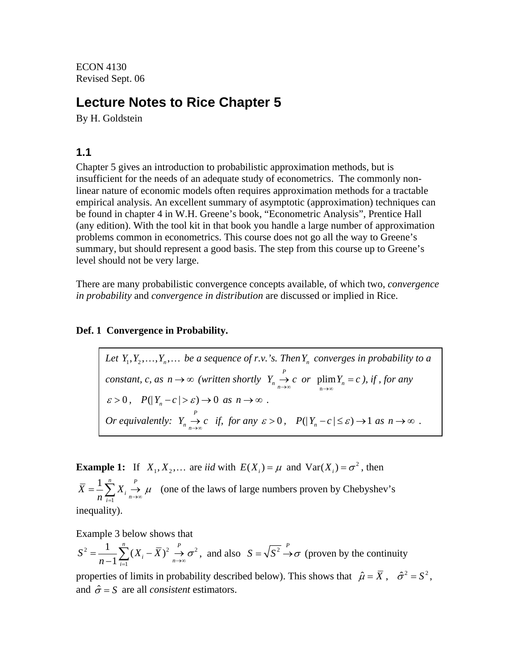ECON 4130 Revised Sept. 06

# **Lecture Notes to Rice Chapter 5**

By H. Goldstein

## **1.1**

Chapter 5 gives an introduction to probabilistic approximation methods, but is insufficient for the needs of an adequate study of econometrics. The commonly nonlinear nature of economic models often requires approximation methods for a tractable empirical analysis. An excellent summary of asymptotic (approximation) techniques can be found in chapter 4 in W.H. Greene's book, "Econometric Analysis", Prentice Hall (any edition). With the tool kit in that book you handle a large number of approximation problems common in econometrics. This course does not go all the way to Greene's summary, but should represent a good basis. The step from this course up to Greene's level should not be very large.

There are many probabilistic convergence concepts available, of which two, *convergence in probability* and *convergence in distribution* are discussed or implied in Rice.

## **Def. 1 Convergence in Probability.**

Let  $Y_1, Y_2, \ldots, Y_n, \ldots$  be a sequence of r.v.'s. Then  $Y_n$  converges in probability to a *constant, c, as*  $n \to \infty$  (written shortly  $Y_n \to c$  or  $\lim_{n \to \infty} Y_n = c$ *n*  $n \to \infty$  (written shortly  $Y_n \stackrel{P}{\to}$  $\sum_{n \to \infty}^{\infty} c$  *or*  $\lim_{n \to \infty} Y_n = c$ , *if, for any*  $\varepsilon > 0$ ,  $P(|Y_n - c| > \varepsilon) \to 0$  as  $n \to \infty$ . *Or equivalently:*  $Y_n \xrightarrow{P} c$  *if, for any*  $\sum_{n \to \infty}^{\infty} c \text{ if, for any } \varepsilon > 0, \quad P(|Y_n - c| \leq \varepsilon) \to 1 \text{ as } n \to \infty.$ 

**Example 1:** If  $X_1, X_2, ...$  are *iid* with  $E(X_i) = \mu$  and  $Var(X_i) = \sigma^2$ , then 1  $1 \frac{n}{\sum x}$   $P$  $\overline{X} = \frac{1}{n} \sum_{i=1}^{n} X_i$  $=\frac{1}{n}\sum_{i=1}^{n}X_i \xrightarrow[n\to\infty]{n} \mu$  (one of the laws of large numbers proven by Chebyshev's inequality).

Example 3 below shows that

$$
S^{2} = \frac{1}{n-1} \sum_{i=1}^{n} (X_{i} - \overline{X})^{2} \overset{P}{\to} \sigma^{2}
$$
, and also  $S = \sqrt{S^{2}} \overset{P}{\to} \sigma$  (proven by the continuity

properties of limits in probability described below). This shows that  $\hat{\mu} = \overline{X}$ ,  $\hat{\sigma}^2 = S^2$ , and  $\hat{\sigma} = S$  are all *consistent* estimators.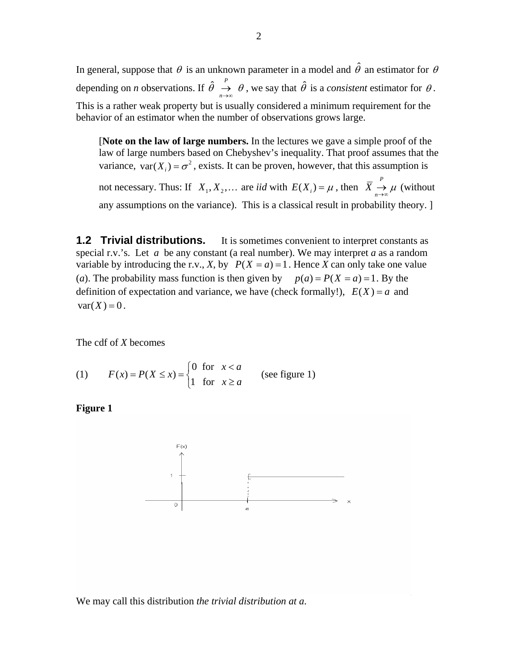In general, suppose that  $\theta$  is an unknown parameter in a model and  $\hat{\theta}$  an estimator for  $\theta$ depending on *n* observations. If  $\hat{\theta}$  $\theta \rightarrow \theta$  $\stackrel{\sim}{\rightarrow} \theta$ , we say that  $\hat{\theta}$  is a *consistent* estimator for  $\theta$ . This is a rather weak property but is usually considered a minimum requirement for the behavior of an estimator when the number of observations grows large.

[**Note on the law of large numbers.** In the lectures we gave a simple proof of the law of large numbers based on Chebyshev's inequality. That proof assumes that the variance,  $var(X_i) = \sigma^2$ , exists. It can be proven, however, that this assumption is not necessary. Thus: If  $X_1, X_2, ...$  are *iid* with  $E(X_i) = \mu$ , then  $\overline{X}$  $\overline{X} \underset{n \to \infty}{\to} \mu$  (without any assumptions on the variance). This is a classical result in probability theory. ]

**1.2 Trivial distributions.** It is sometimes convenient to interpret constants as special r.v.'s. Let *a* be any constant (a real number). We may interpret *a* as a random variable by introducing the r.v., *X*, by  $P(X = a) = 1$ . Hence *X* can only take one value (*a*). The probability mass function is then given by  $p(a) = P(X = a) = 1$ . By the definition of expectation and variance, we have (check formally!),  $E(X) = a$  and  $var(X) = 0$ .

The cdf of *X* becomes

(1) 
$$
F(x) = P(X \le x) = \begin{cases} 0 & \text{for } x < a \\ 1 & \text{for } x \ge a \end{cases}
$$
 (see figure 1)

**Figure 1** 



We may call this distribution *the trivial distribution at a*.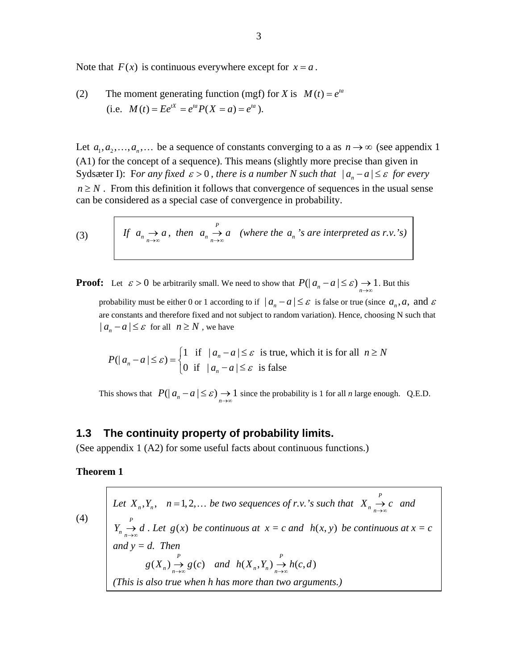Note that  $F(x)$  is continuous everywhere except for  $x = a$ .

(2) The moment generating function (mgf) for X is 
$$
M(t) = e^{ta}
$$
  
(i.e.  $M(t) = Ee^{tX} = e^{ta}P(X = a) = e^{ta}$ ).

Let  $a_1, a_2, ..., a_n, ...$  be a sequence of constants converging to a as  $n \to \infty$  (see appendix 1 (A1) for the concept of a sequence). This means (slightly more precise than given in Sydsæter I): For any fixed  $\varepsilon > 0$ , there is a number N such that  $|a_n - a| \leq \varepsilon$  for every  $n \geq N$ . From this definition it follows that convergence of sequences in the usual sense can be considered as a special case of convergence in probability.

(3) If 
$$
a_n \to a
$$
, then  $a_n \to a$  (where the  $a_n$ 's are interpreted as r.v.'s)

**Proof:** Let  $\varepsilon > 0$  be arbitrarily small. We need to show that  $P(|a_n - a| \leq \varepsilon) \to 1$ . But this probability must be either 0 or 1 according to if  $|a_n - a| \leq \varepsilon$  is false or true (since  $a_n, a$ , and  $\varepsilon$ are constants and therefore fixed and not subject to random variation). Hence, choosing N such that  $| a_n - a | \leq \varepsilon$  for all  $n \geq N$ , we have

$$
P(|a_n - a| \le \varepsilon) = \begin{cases} 1 & \text{if } |a_n - a| \le \varepsilon \text{ is true, which it is for all } n \ge N \\ 0 & \text{if } |a_n - a| \le \varepsilon \text{ is false} \end{cases}
$$

This shows that  $P(| a_n - a | \leq \varepsilon) \to 1$  since the probability is 1 for all *n* large enough. Q.E.D.

## **1.3 The continuity property of probability limits.**

(See appendix 1 (A2) for some useful facts about continuous functions.)

### **Theorem 1**

(4) *Let*  $X_n, Y_n, n = 1, 2, ...$  *be two sequences of r.v.'s such that*  $X_n \underset{n \to \infty}{\rightarrow} c$  *and . Let*  $g(x)$  *be continuous at*  $x = c$  *and*  $h(x, y)$  *be continuous at*  $x = c$ *and y = d. Then P*  $Y_n \longrightarrow d$ )  $g(x)$  *he continuous at*  $x = c$  *and*  $h(x, y)$  $(X_n) \stackrel{P}{\rightarrow} g(c)$  and  $g(X_n) \xrightarrow[n \to \infty]{P} g(c)$  and  $h(X_n, Y_n) \xrightarrow[n \to \infty]{P} h(c,$  $h(X_n, Y_n) \to h(c, d)$ *(This is also true when h has more than two arguments.)*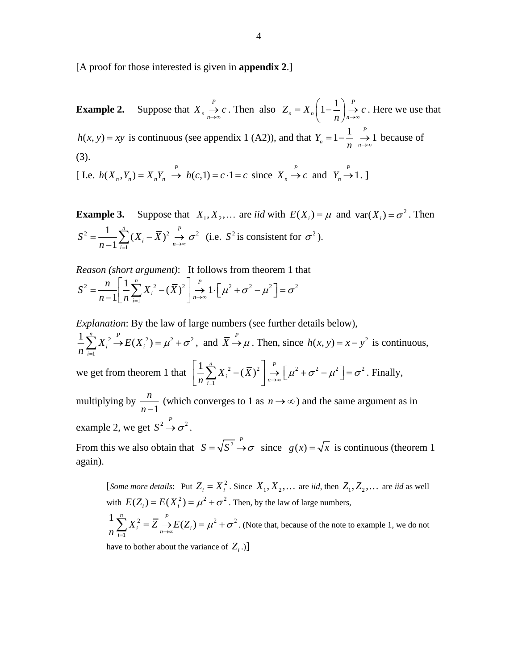[A proof for those interested is given in **appendix 2**.]

**Example 2.** Suppose that  $X_n \stackrel{P}{\rightarrow}$  $X_n \underset{n \to \infty}{\to} c$ . Then also  $Z_n = X_n \left(1 - \frac{1}{n}\right)_{n \to \infty}^p$  $Z_n = X_n \left[1 - \frac{1}{n}\right]_n$  $= X_n \left(1 - \frac{1}{n}\right) \stackrel{P}{\rightarrow} c$ . Here we use that  $h(x, y) = xy$  is continuous (see appendix 1 (A2)), and that  $Y_n = 1 - \frac{1}{x}$  $Y_n = 1 - \frac{1}{n}$  $n \xrightarrow{n \to \infty}$  $= 1 - \frac{1}{2} \rightarrow 1$  because of (3).

[ I.e.  $h(X_n, Y_n) = X_n Y_n \xrightarrow{P} h(c, 1) = c \cdot 1 = c$  since  $X_n \to c$  and  $Y_n \to 1$ .]

**Example 3.** Suppose that  $X_1, X_2, ...$  are *iid* with  $E(X_i) = \mu$  and  $var(X_i) = \sigma^2$ . Then 2  $\frac{1}{\sqrt{V}}$  $\frac{1}{-1}\sum_{i=1}^n (X_i - \overline{X})^2 \xrightarrow[n \to \infty]{P}$  $S^{2} = \frac{1}{n-1} \sum_{i=1}^{n} (X_{i} - \overline{X})^{2}$ *n*  $\sigma^2$  $=\frac{1}{n-1}\sum_{i=1}^{\infty}(X_i-\overline{X})^2 \underset{n\to\infty}{\to} \sigma^2$  (i.e.  $S^2$  is consistent for  $\sigma^2$ ).

*Reason (short argument)*: It follows from theorem 1 that

$$
S^{2} = \frac{n}{n-1} \left[ \frac{1}{n} \sum_{i=1}^{n} X_{i}^{2} - (\overline{X})^{2} \right] \xrightarrow[n \to \infty]{P} 1 \cdot \left[ \mu^{2} + \sigma^{2} - \mu^{2} \right] = \sigma^{2}
$$

*Explanation*: By the law of large numbers (see further details below),

2  $E(V^2) = u^2$ 1  $\frac{1}{2} \sum_{i=1}^{n} X_i^2 \rightarrow E(X_i^2)$  $i \sim \mu(\Lambda_i)$ *i*  $X_i^2 \to E(X)$ *n*  $\mu^2 + \sigma^2$  $\sum_{i=1}^{n} X_i^2 \xrightarrow{P} E(X_i^2) = \mu^2 + \sigma^2$ , and  $\overline{X} \xrightarrow{P} \mu$ . Then, since  $h(x, y) = x - y^2$  is continuous, we get from theorem 1 that  $\left| \frac{1}{n} \sum X_i^2 - (\overline{X})^2 \right| \rightarrow \left[ \mu^2 + \sigma^2 - \mu^2 \right]$ 1  $\frac{1}{2}\sum_{i=1}^{n}X_i^2-(\bar{X})^2$  $\sum_{i=1}^N X_i^2 - (\bar{X})^2 \bigg]_n^2$  $\left[\frac{1}{n}\sum_{i=1}^{n}X_i^2-(\overline{X})^2\right]\rightarrow\left[\mu^2+\sigma^2-\mu^2\right]=\sigma^2$ . Finally, multiplying by  $\frac{n}{n-1}$  (which converges to 1 as  $n \to \infty$ ) and the same argument as in example 2, we get  $S^2 \rightarrow \sigma^2$ . From this we also obtain that  $S = \sqrt{S^2 + \sigma}$  since  $g(x) = \sqrt{x}$  is continuous (theorem 1) again).

[*Some more details*: Put  $Z_i = X_i^2$ . Since  $X_1, X_2, \ldots$  are *iid*, then  $Z_1, Z_2, \ldots$  are *iid* as well with  $E(Z_i) = E(X_i^2) = \mu^2 + \sigma^2$ . Then, by the law of large numbers, 2 1  $\frac{1}{2} \sum_{i=1}^{n} X_i^2 = \overline{Z} \stackrel{P}{\rightarrow} E(Z_i)$  $\sum_{i=1}^n X_i^2 = Z \longrightarrow E(Z_i)$  $\frac{1}{n}\sum_{i=1}^n X_i^2 = \overline{Z} \stackrel{\rightarrow}{\rightarrow} E(Z_i) = \mu^2 + \sigma^2$ . (Note that, because of the note to example 1, we do not

have to bother about the variance of  $Z_i$ .)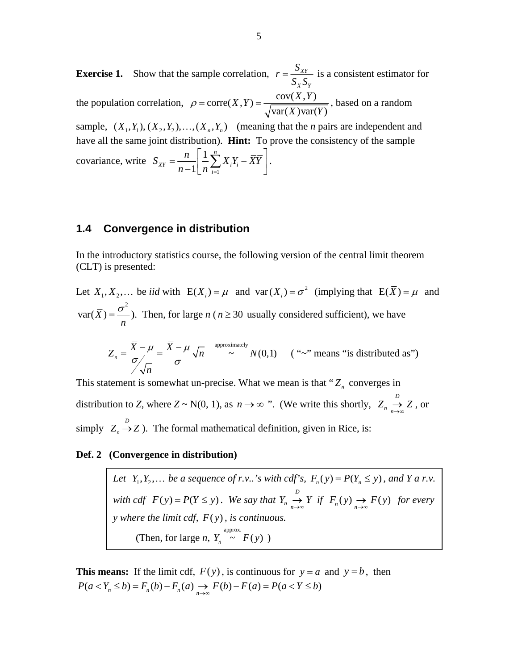**Exercise 1.** Show that the sample correlation,  $r = \frac{S_{XY}}{S_{XY}}$ *X Y*  $r = \frac{S_{XY}}{S_X S_Y}$  is a consistent estimator for the population correlation,  $\rho = \text{corr}(X, Y) = \frac{\text{cov}(X, Y)}{\sqrt{N}}$  $var(X)var(Y)$  $\varphi$  = corre(*X*, *Y*) =  $\frac{\text{cov}(X, Y)}{\sqrt{\text{var}(X)\text{var}(Y)}}$ , based on a random sample,  $(X_1, Y_1), (X_2, Y_2), \ldots, (X_n, Y_n)$  (meaning that the *n* pairs are independent and have all the same joint distribution). **Hint:** To prove the consistency of the sample covariance, write 1 1 1 *n*  $XY = \begin{bmatrix} 1 \\ 2 \end{bmatrix}$   $\begin{bmatrix} \Delta A_i I_i \end{bmatrix}$ *i*  $S_{xy} = \frac{n}{\sum_{i=1}^{n} X_i Y_i}$  $=\frac{n}{n-1}\left[\frac{1}{n}\sum_{i=1}^{n}X_{i}Y_{i}-\overline{XY}\right].$ 

## **1.4 Convergence in distribution**

In the introductory statistics course, the following version of the central limit theorem (CLT) is presented:

Let  $X_1, X_2, ...$  be *iid* with  $E(X_i) = \mu$  and var $(X_i) = \sigma^2$  (implying that  $E(\overline{X}) = \mu$  and 2  $var(X)$ *n*  $=\frac{\sigma}{\sigma}$ ). Then, for large *n* (*n*  $\geq$  30 usually considered sufficient), we have

$$
Z_n = \frac{\overline{X} - \mu}{\sigma \sqrt{n}} = \frac{\overline{X} - \mu}{\sigma} \sqrt{n} \approx N(0,1) \quad (\text{``\sim" means "is distributed as")}
$$

This statement is somewhat un-precise. What we mean is that " $Z_n$  converges in distribution to *Z*, where  $Z \sim N(0, 1)$ , as  $n \to \infty$  ". (We write this shortly,  $Z_n \stackrel{D}{\to}$  $Z_n \underset{n \to \infty}{\to} Z$ , or simply  $Z_n \stackrel{D}{\rightarrow} Z$ ). The formal mathematical definition, given in Rice, is:

#### **Def. 2 (Convergence in distribution)**

*Let*  $Y_1, Y_2, \ldots$  *be a sequence of r.v..'s with cdf's,*  $F_n(y) = P(Y_n \le y)$ *, and Y a r.v. with cdf*  $F(y) = P(Y \le y)$ . We say that  $Y_n \to Y$  if  $F_n(y) \to F(y)$  for every *y* where the limit cdf,  $F(y)$ , is continuous.  $F(y) = P(Y \le y)$ . We say that  $Y_n \stackrel{D}{\rightarrow}$  $Y_n \underset{n \to \infty}{\to} Y$  if  $F_n(y) \underset{n \to \infty}{\to} F(y)$  $F(y)$ (Then, for large *n*,  $Y_n \sim F(y)$ )

**This means:** If the limit cdf,  $F(y)$ , is continuous for  $y = a$  and  $y = b$ , then  $P(a < Y_n \le b) = F_n(b) - F_n(a) \to F(b) - F(a) = P(a < Y \le b)$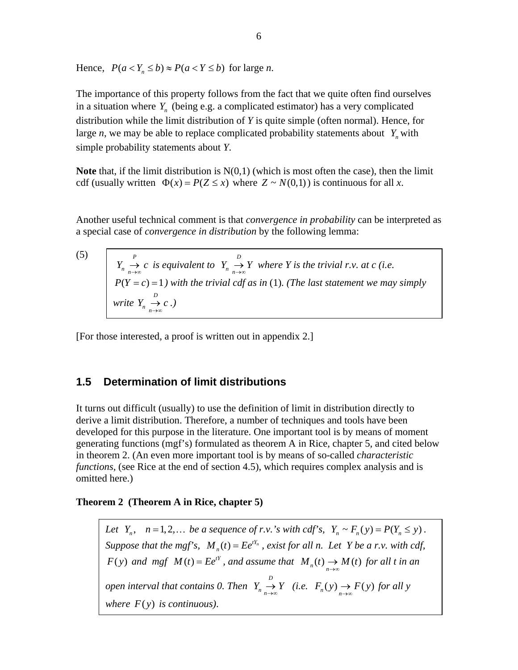Hence,  $P(a < Y_n \le b) \approx P(a < Y \le b)$  for large *n*.

The importance of this property follows from the fact that we quite often find ourselves in a situation where  $Y_n$  (being e.g. a complicated estimator) has a very complicated distribution while the limit distribution of *Y* is quite simple (often normal). Hence, for large *n*, we may be able to replace complicated probability statements about  $Y_n$  with simple probability statements about *Y*.

**Note** that, if the limit distribution is N(0,1) (which is most often the case), then the limit cdf (usually written  $\Phi(x) = P(Z \le x)$  where  $Z \sim N(0,1)$ ) is continuous for all *x*.

Another useful technical comment is that *convergence in probability* can be interpreted as a special case of *convergence in distribution* by the following lemma:

(5)  $Y_n \to c$  is equivalent to  $Y_n \to Y$  where *Y* is the trivial *r.v.* at *c* (i.e. *) with the trivial cdf as in* (1)*. (The last statement we may simply write*  $Y_n \to c$ .) *P*  $\sum_{n \to \infty}^{\infty} c$  *is equivalent to*  $Y_n \longrightarrow Y$ 1  $\rightarrow \atop{n \rightarrow \infty}$ *D <sup>n</sup> <sup>n</sup>*  $P(Y = c) =$ *D <sup>n</sup> <sup>n</sup>*

[For those interested, a proof is written out in appendix 2.]

## **1.5 Determination of limit distributions**

It turns out difficult (usually) to use the definition of limit in distribution directly to derive a limit distribution. Therefore, a number of techniques and tools have been developed for this purpose in the literature. One important tool is by means of moment generating functions (mgf's) formulated as theorem A in Rice, chapter 5, and cited below in theorem 2. (An even more important tool is by means of so-called *characteristic functions,* (see Rice at the end of section 4.5), which requires complex analysis and is omitted here.)

## **Theorem 2 (Theorem A in Rice, chapter 5)**

*Let*  $Y_n$ ,  $n = 1, 2, ...$  *be a sequence of r.v.'s with cdf's,*  $Y_n \sim F_n(y) = P(Y_n \le y)$ . *Suppose that the mgf's,*  $M_n(t) = Ee^{tY_n}$ , exist for all n. Let Y be a r.v. with cdf, *F*(*y*) and mgf  $M(t) = Ee^{tY}$ , and assume that  $M_n(t) \to M(t)$  for all t in an *Sopen interval that contains 0. Then*  $Y_n \xrightarrow[n \to \infty]{D} Y$  *(i.e.*  $F_n(y) \to F(y)$  for all y *where*  $F(y)$  *is continuous*).  $\sum_{n \to \infty} Y$  *(i.e.*  $F_n(y) \to F(y)$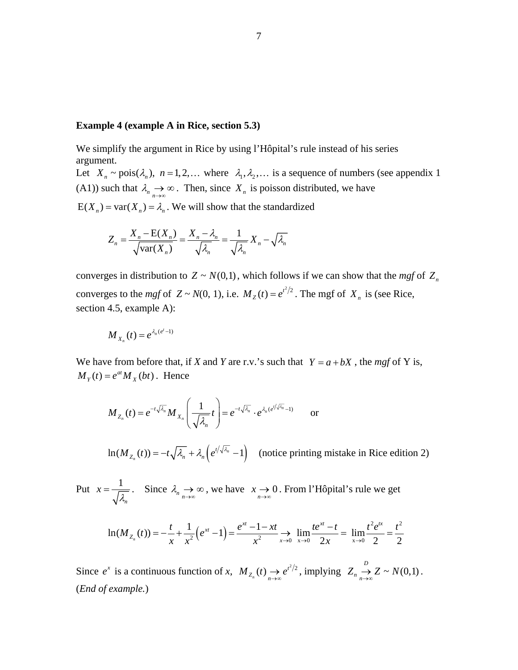## **Example 4 (example A in Rice, section 5.3)**

We simplify the argument in Rice by using l'Hôpital's rule instead of his series argument.

Let  $X_n \sim \text{pois}(\lambda_n)$ ,  $n = 1,2,...$  where  $\lambda_1, \lambda_2,...$  is a sequence of numbers (see appendix 1 (A1)) such that  $\lambda_{n}$ <sup>2</sup>  $\rightarrow \infty$ . Then, since  $X_n$  is poisson distributed, we have  $E(X_n) = \text{var}(X_n) = \lambda_n$ . We will show that the standardized

$$
Z_n = \frac{X_n - \mathcal{E}(X_n)}{\sqrt{\text{var}(X_n)}} = \frac{X_n - \lambda_n}{\sqrt{\lambda_n}} = \frac{1}{\sqrt{\lambda_n}} X_n - \sqrt{\lambda_n}
$$

converges in distribution to  $Z \sim N(0,1)$ , which follows if we can show that the *mgf* of  $Z_n$ converges to the *mgf* of  $Z \sim N(0, 1)$ , i.e.  $M_Z(t) = e^{t^2/2}$ . The mgf of  $X_n$  is (see Rice, section 4.5, example A):

$$
M_{X_n}(t) = e^{\lambda_n(e^t-1)}
$$

We have from before that, if *X* and *Y* are r.v.'s such that  $Y = a + bX$ , the mgf of Y is,  $M_Y(t) = e^{at} M_X(bt)$ . Hence

$$
M_{Z_n}(t) = e^{-t\sqrt{\lambda_n}} M_{X_n}\left(\frac{1}{\sqrt{\lambda_n}}t\right) = e^{-t\sqrt{\lambda_n}} \cdot e^{\lambda_n(e^{t/\sqrt{\lambda_n}}-1)} \quad \text{or}
$$

 $\ln(M_{Z_n}(t)) = -t\sqrt{\lambda_n} + \lambda_n \left(e^{t/\sqrt{\lambda_n}} - 1\right)$  (notice printing mistake in Rice edition 2)

Put  $x = \frac{1}{\sqrt{2}}$ *n*  $x = \frac{1}{\sqrt{\lambda}}$ . Since  $\lambda_{n}$ → ∞, we have  $x \to 0$ . From l'Hôpital's rule we get

$$
\ln(M_{Z_n}(t)) = -\frac{t}{x} + \frac{1}{x^2} \left( e^{xt} - 1 \right) = \frac{e^{xt} - 1 - xt}{x^2} \to \lim_{x \to 0} \frac{te^{xt} - t}{2x} = \lim_{x \to 0} \frac{t^2 e^{tx}}{2} = \frac{t^2}{2}
$$

Since  $e^x$  is a continuous function of *x*,  $M_{Z_n}(t) \to e^{t^2/2}$ *t*  $M_{Z_n}(t) \rightarrow e^{t^2/2}$ , implying  $Z_n \rightarrow Z \sim N(0,1)$ . (*End of example.*)  $Z_n \longrightarrow Z \sim N$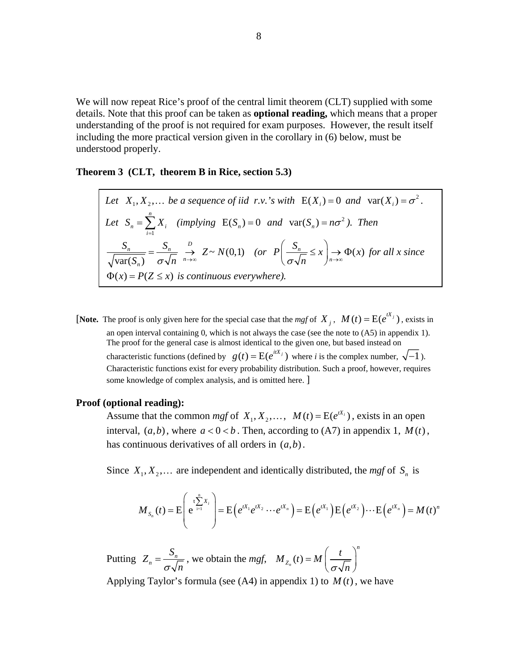We will now repeat Rice's proof of the central limit theorem (CLT) supplied with some details. Note that this proof can be taken as **optional reading,** which means that a proper understanding of the proof is not required for exam purposes. However, the result itself including the more practical version given in the corollary in (6) below, must be understood properly.

**Theorem 3 (CLT, theorem B in Rice, section 5.3)**

Let 
$$
X_1, X_2,...
$$
 be a sequence of iid r.v.'s with  $E(X_i) = 0$  and  $var(X_i) = \sigma^2$ .  
\nLet  $S_n = \sum_{i=1}^n X_i$  (implying  $E(S_n) = 0$  and  $var(S_n) = n\sigma^2$ ). Then  
\n
$$
\frac{S_n}{\sqrt{var(S_n)}} = \frac{S_n}{\sigma \sqrt{n}} \xrightarrow{n \to \infty} Z \sim N(0,1)
$$
 (or  $P\left(\frac{S_n}{\sigma \sqrt{n}} \le x\right) \to \Phi(x)$  for all x since  
\n $\Phi(x) = P(Z \le x)$  is continuous everywhere).

[**Note.** The proof is only given here for the special case that the *mgf* of  $X_i$ ,  $M(t) = E(e^{tX_i})$ , exists in an open interval containing 0, which is not always the case (see the note to (A5) in appendix 1). The proof for the general case is almost identical to the given one, but based instead on characteristic functions (defined by  $g(t) = E(e^{itX_j})$  where *i* is the complex number,  $\sqrt{-1}$ ). Characteristic functions exist for every probability distribution. Such a proof, however, requires some knowledge of complex analysis, and is omitted here. ]

#### **Proof (optional reading):**

Assume that the common *mgf* of  $X_1, X_2, \ldots, M(t) = E(e^{tX_i})$ , exists in an open interval,  $(a,b)$ , where  $a < 0 < b$ . Then, according to  $(A7)$  in appendix 1,  $M(t)$ , has continuous derivatives of all orders in  $(a,b)$ .

Since  $X_1, X_2, \ldots$  are independent and identically distributed, the *mgf* of  $S_n$  is

$$
M_{S_n}(t) = \mathrm{E}\left(e^{t\sum\limits_{i=1}^n X_i}\right) = \mathrm{E}\left(e^{tX_1}e^{tX_2}\cdots e^{tX_n}\right) = \mathrm{E}\left(e^{tX_1}\right)\mathrm{E}\left(e^{tX_2}\right)\cdots \mathrm{E}\left(e^{tX_n}\right) = M(t)^n
$$

Putting  $Z_n = \frac{S_n}{\sqrt{n}}$ , we obtain the *mgf*, <sup>σ</sup> *n*  $\phi_n(t)$ *n*  $M_{Z_n}(t) = M\left(-\frac{t}{t}\right)$  $= M\left(\frac{t}{\sigma\sqrt{n}}\right)$ 

Applying Taylor's formula (see  $(A4)$  in appendix 1) to  $M(t)$ , we have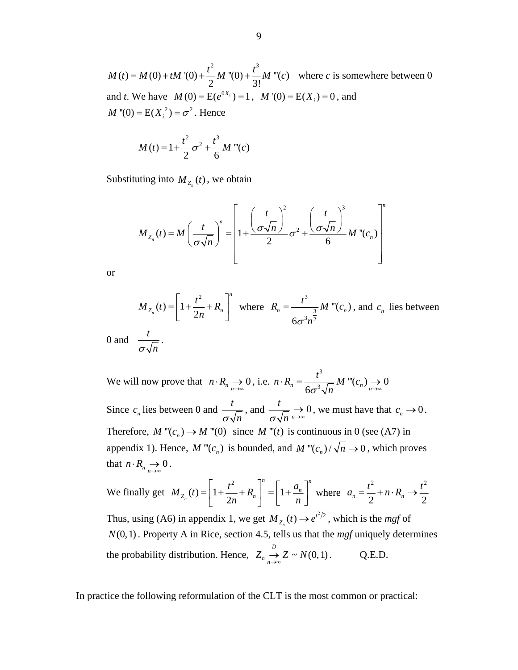2  $+3$  $M(t) = M(0) + tM'(0) + \frac{t^2}{2}M''(0) + \frac{t^3}{3!}M'''(c)$  where *c* is somewhere between 0 and *t*. We have  $M(0) = E(e^{0X_i}) = 1$ ,  $M'(0) = E(X_i) = 0$ , and  $M''(0) = E(X_i^2) = \sigma^2$ . Hence

$$
M(t) = 1 + \frac{t^2}{2}\sigma^2 + \frac{t^3}{6}M'''(c)
$$

Substituting into  $M_{Z_n}(t)$ , we obtain

$$
M_{Z_n}(t) = M \left(\frac{t}{\sigma \sqrt{n}}\right)^n = \left[1 + \frac{\left(\frac{t}{\sigma \sqrt{n}}\right)^2}{2} \sigma^2 + \frac{\left(\frac{t}{\sigma \sqrt{n}}\right)^3}{6} M \right]^n
$$

or

$$
M_{Z_n}(t) = \left[1 + \frac{t^2}{2n} + R_n\right]^n \text{ where } R_n = \frac{t^3}{6\sigma^3 n^{\frac{3}{2}}} M^{\text{''}}(c_n), \text{ and } c_n \text{ lies between}
$$
  

$$
\frac{t}{\sqrt{C}}.
$$

0 and  $\frac{t}{t}$ <sup>σ</sup> *n*

We will now prove that  $n \cdot R_n \to 0$ , i.e. 3  $\sum_{n=1}^{\infty} \frac{1}{6\sigma^3 \sqrt{n}} M^{(n)}(c_n) \rightarrow 0$  $n \cdot R_n = \frac{t^3}{2 \cdot \overline{C}} M$  "'(*c*  $\sigma^3\sqrt{n}$   $n\rightarrow\infty$  $\cdot R_n = \frac{i}{\sqrt{2}} M'''(c_n) \to 0$ Since  $c_n$  lies between 0 and  $\frac{t}{c_n}$  $\frac{t}{\sigma\sqrt{n}}$ , and  $\frac{t}{\sigma\sqrt{n}} \to 0$  $σ√n \rightarrow ∞$  $\rightarrow$  0, we must have that  $c_n \rightarrow 0$ . Therefore,  $M'''(c_n) \to M'''(0)$  since  $M'''(t)$  is continuous in 0 (see (A7) in appendix 1). Hence,  $M'''(c_n)$  is bounded, and  $M'''(c_n)/\sqrt{n} \rightarrow 0$ , which proves that  $n \cdot R_n \to 0$ .

We finally get 
$$
M_{Z_n}(t) = \left[1 + \frac{t^2}{2n} + R_n\right]^n = \left[1 + \frac{a_n}{n}\right]^n
$$
 where  $a_n = \frac{t^2}{2} + n \cdot R_n \to \frac{t^2}{2}$ 

Thus, using (A6) in appendix 1, we get  $M_{Z_n}(t) \to e^{t^2/2}$ , which is the *mgf* of  $N(0, 1)$ . Property A in Rice, section 4.5, tells us that the *mgf* uniquely determines the probability distribution. Hence,  $Z_n \to Z \sim N(0,1)$ . Q.E.D.  $Z_n \longrightarrow Z \sim N$ 

In practice the following reformulation of the CLT is the most common or practical: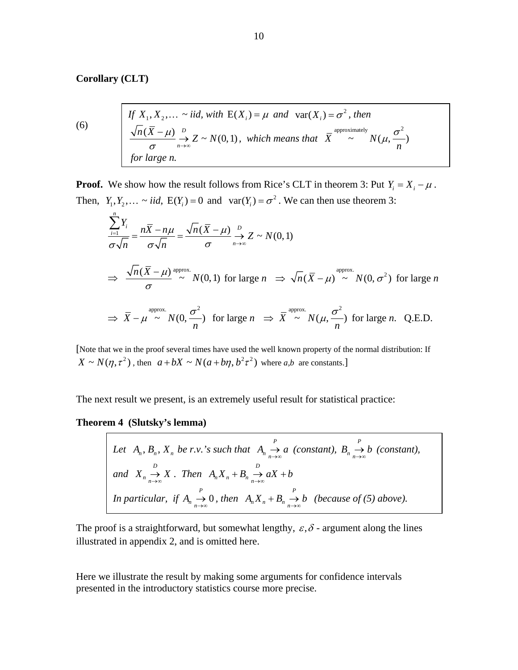## **Corollary (CLT)**

(6) If 
$$
X_1, X_2, ... \sim
$$
 iid, with  $E(X_i) = \mu$  and  $var(X_i) = \sigma^2$ , then  
\n
$$
\frac{\sqrt{n}(\overline{X} - \mu)}{\sigma} \xrightarrow[n \to \infty]{D} Z \sim N(0, 1), \text{ which means that } \overline{X}^{\text{approximately}} \sim N(\mu, \frac{\sigma^2}{n})
$$
\nfor large n.

**Proof.** We show how the result follows from Rice's CLT in theorem 3: Put  $Y_i = X_i - \mu$ . Then,  $Y_1, Y_2, \ldots \sim iid$ ,  $E(Y_i) = 0$  and  $var(Y_i) = \sigma^2$ . We can then use theorem 3:

$$
\frac{\sum_{i=1}^{n} Y_i}{\sigma \sqrt{n}} = \frac{n\overline{X} - n\mu}{\sigma \sqrt{n}} = \frac{\sqrt{n}(\overline{X} - \mu)}{\sigma} \xrightarrow[n \to \infty]{D} Z \sim N(0, 1)
$$
  
\n
$$
\Rightarrow \frac{\sqrt{n}(\overline{X} - \mu)}{\sigma} \approx N(0, 1) \text{ for large } n \Rightarrow \sqrt{n}(\overline{X} - \mu) \approx N(0, \sigma^2) \text{ for large } n
$$
  
\n
$$
\Rightarrow \overline{X} - \mu \approx N(0, \frac{\sigma^2}{n}) \text{ for large } n \Rightarrow \overline{X} \approx N(\mu, \frac{\sigma^2}{n}) \text{ for large } n. Q.E.D.
$$

[Note that we in the proof several times have used the well known property of the normal distribution: If  $X \sim N(\eta, \tau^2)$ , then  $a + bX \sim N(a + b\eta, b^2\tau^2)$  where *a,b* are constants.]

The next result we present, is an extremely useful result for statistical practice:

### **Theorem 4 (Slutsky's lemma)**

 $\Gamma$ 

Let 
$$
A_n
$$
,  $B_n$ ,  $X_n$  be r.v.'s such that  $A_n \xrightarrow{P} a$  (constant),  $B_n \xrightarrow{P} b$  (constant),  
and  $X_n \xrightarrow{D} X$ . Then  $A_n X_n + B_n \xrightarrow{D} aX + b$   
In particular, if  $A_n \xrightarrow{P} 0$ , then  $A_n X_n + B_n \xrightarrow{P} b$  (because of (5) above).

The proof is a straightforward, but somewhat lengthy,  $\varepsilon$ ,  $\delta$  - argument along the lines illustrated in appendix 2, and is omitted here.

Here we illustrate the result by making some arguments for confidence intervals presented in the introductory statistics course more precise.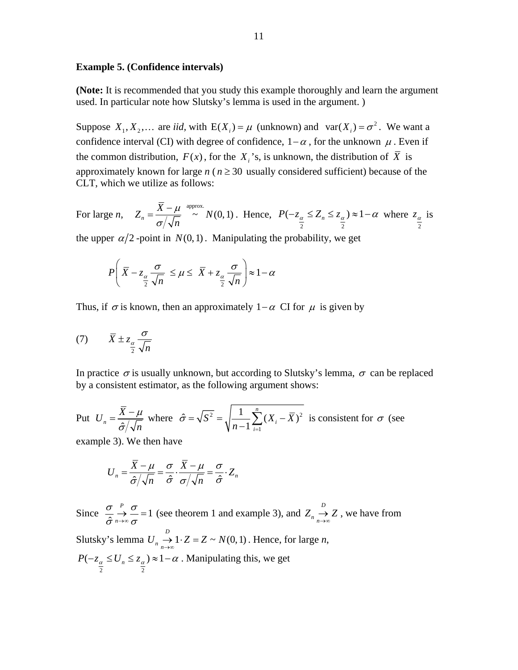#### **Example 5. (Confidence intervals)**

**(Note:** It is recommended that you study this example thoroughly and learn the argument used. In particular note how Slutsky's lemma is used in the argument. )

Suppose  $X_1, X_2, \ldots$  are *iid*, with  $E(X_i) = \mu$  (unknown) and  $var(X_i) = \sigma^2$ . We want a confidence interval (CI) with degree of confidence,  $1-\alpha$ , for the unknown  $\mu$ . Even if the common distribution,  $F(x)$ , for the  $X_i$ 's, is unknown, the distribution of  $\overline{X}$  is approximately known for large  $n (n \geq 30)$  usually considered sufficient) because of the CLT, which we utilize as follows:

For large *n*,  $Z_n = \frac{\overline{X} - \mu}{\sqrt{I}} \stackrel{\text{approx.}}{\sim} N(0, 1)$ *n* μ σ  $=\frac{\overline{X}-\mu}{\sqrt{1-\mu}} \stackrel{\text{approx.}}{\sim} N(0,1)$ . Hence, 2 2  $P(-z_\alpha \leq Z_n \leq z_\alpha) \approx 1 - \alpha$  where 2  $z_\alpha$  is

the upper  $\alpha/2$ -point in  $N(0,1)$ . Manipulating the probability, we get

$$
P\left(\overline{X} - z_{\frac{\alpha}{2}} \frac{\sigma}{\sqrt{n}} \le \mu \le \overline{X} + z_{\frac{\alpha}{2}} \frac{\sigma}{\sqrt{n}}\right) \approx 1 - \alpha
$$

Thus, if  $\sigma$  is known, then an approximately 1– $\alpha$  CI for  $\mu$  is given by

$$
(7) \qquad \bar{X} \pm z_{\frac{\alpha}{2}} \frac{\sigma}{\sqrt{n}}
$$

In practice  $\sigma$  is usually unknown, but according to Slutsky's lemma,  $\sigma$  can be replaced by a consistent estimator, as the following argument shows:

Put 
$$
U_n = \frac{\overline{X} - \mu}{\hat{\sigma}/\sqrt{n}}
$$
 where  $\hat{\sigma} = \sqrt{S^2} = \sqrt{\frac{1}{n-1} \sum_{i=1}^n (X_i - \overline{X})^2}$  is consistent for  $\sigma$  (see

example 3). We then have

$$
U_n = \frac{\overline{X} - \mu}{\hat{\sigma}/\sqrt{n}} = \frac{\sigma}{\hat{\sigma}} \cdot \frac{\overline{X} - \mu}{\sigma/\sqrt{n}} = \frac{\sigma}{\hat{\sigma}} \cdot Z_n
$$

Since  $\frac{\sigma}{\hat{\sigma}} \xrightarrow[n \to \infty]{P} \frac{\sigma}{\sigma} = 1$ *n* σ σ  $\frac{\sigma}{\hat{\sigma}} \stackrel{P}{\rightarrow} \frac{\sigma}{\sigma} = 1$  (see theorem 1 and example 3), and  $Z_n \stackrel{D}{\rightarrow}$  $Z_n \longrightarrow Z$ , we have from Slutsky's lemma  $U_n \xrightarrow[n \to \infty]{D} 1 \cdot Z = Z \sim N(0,1)$ . Hence, for large *n*, 2 2  $P(-z_\alpha \leq U_n \leq z_\alpha) \approx 1-\alpha$ . Manipulating this, we get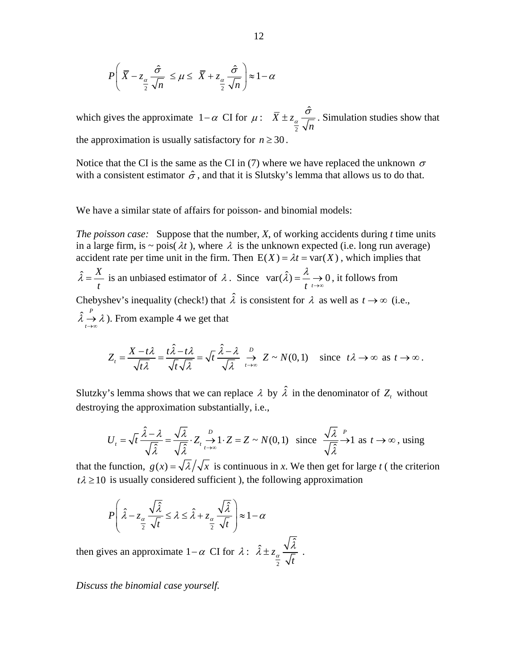$$
P\left(\bar{X} - z_{\frac{\alpha}{2}} \frac{\hat{\sigma}}{\sqrt{n}} \le \mu \le \bar{X} + z_{\frac{\alpha}{2}} \frac{\hat{\sigma}}{\sqrt{n}}\right) \approx 1 - \alpha
$$

which gives the approximate  $1-\alpha$  CI for  $\mu$ : 2  $\bar{X} \pm z_{\alpha} \frac{\hat{\sigma}}{\tau}$  $\frac{\alpha}{2} \sqrt{n}$  $\pm z_{\alpha} \frac{\sigma}{\sqrt{n}}$ . Simulation studies show that the approximation is usually satisfactory for  $n \geq 30$ .

Notice that the CI is the same as the CI in (7) where we have replaced the unknown  $\sigma$ with a consistent estimator  $\hat{\sigma}$ , and that it is Slutsky's lemma that allows us to do that.

We have a similar state of affairs for poisson- and binomial models:

*The poisson case:* Suppose that the number, *X*, of working accidents during *t* time units in a large firm, is  $\sim$  pois( $\lambda t$ ), where  $\lambda$  is the unknown expected (i.e. long run average) accident rate per time unit in the firm. Then  $E(X) = \lambda t = \text{var}(X)$ , which implies that  $\hat{a} = \frac{X}{A}$  $\hat{\lambda} = \frac{X}{t}$  is an unbiased estimator of  $\lambda$ . Since  $var(\hat{\lambda}) = \frac{\lambda}{t} \rightarrow 0$  $=\frac{\pi}{t}\rightarrow 0$ , it follows from Chebyshev's inequality (check!) that  $\hat{\lambda}$  is consistent for  $\lambda$  as well as  $t \to \infty$  (i.e.,  $\hat{a} \stackrel{P}{=}$ *t*  $\lambda \rightarrow \lambda$  $\rightarrow \infty$  ). From example 4 we get that

$$
Z_t = \frac{X - t\lambda}{\sqrt{t\lambda}} = \frac{t\hat{\lambda} - t\lambda}{\sqrt{t\sqrt{\lambda}}} = \sqrt{t} \frac{\hat{\lambda} - \lambda}{\sqrt{\lambda}} \xrightarrow[t \to \infty]{} Z \sim N(0, 1) \quad \text{since } t\lambda \to \infty \text{ as } t \to \infty.
$$

Slutzky's lemma shows that we can replace  $\lambda$  by  $\hat{\lambda}$  in the denominator of  $Z_t$  without destroying the approximation substantially, i.e.,

$$
U_t = \sqrt{t} \frac{\hat{\lambda} - \lambda}{\sqrt{\hat{\lambda}}} = \frac{\sqrt{\lambda}}{\sqrt{\hat{\lambda}}} \cdot Z_t \xrightarrow[t \to \infty]{D} 1 \cdot Z = Z \sim N(0, 1) \quad \text{since } \frac{\sqrt{\lambda}}{\sqrt{\hat{\lambda}}} \xrightarrow{P} 1 \text{ as } t \to \infty \text{, using}
$$

that the function,  $g(x) = \sqrt{\lambda}/\sqrt{x}$  is continuous in x. We then get for large t (the criterion  $t\lambda \ge 10$  is usually considered sufficient ), the following approximation

$$
P\left(\hat{\lambda} - z_{\alpha} \frac{\sqrt{\hat{\lambda}}}{\frac{\hat{\lambda}}{2}} \leq \lambda \leq \hat{\lambda} + z_{\alpha} \frac{\sqrt{\hat{\lambda}}}{\frac{\hat{\lambda}}{2}}\right) \approx 1 - \alpha
$$

then gives an approximate  $1-\alpha$  CI for  $\lambda$ : 2  $\hat{i} \pm z_{\alpha} \frac{\sqrt{\hat{\lambda}}}{\sqrt{\hat{\lambda}}}$  $\frac{\alpha}{2}$   $\sqrt{t}$  $\hat{\lambda} \pm z_{\alpha} \frac{\sqrt{\lambda}}{\sqrt{2}}$ .

*Discuss the binomial case yourself.*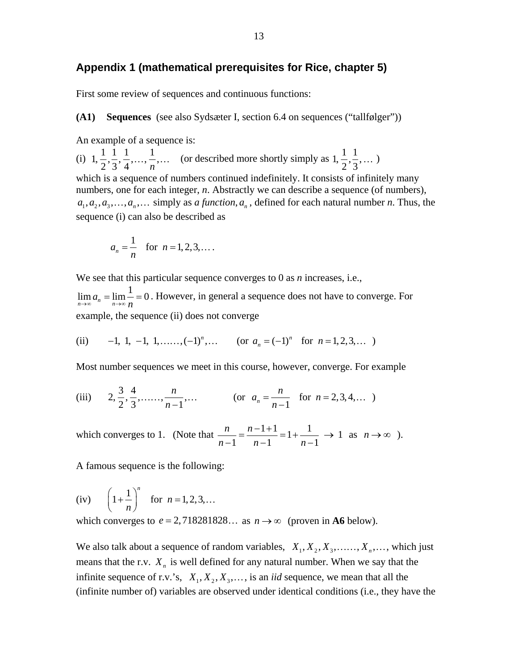## **Appendix 1 (mathematical prerequisites for Rice, chapter 5)**

First some review of sequences and continuous functions:

**(A1) Sequences** (see also Sydsæter I, section 6.4 on sequences ("tallfølger"))

An example of a sequence is:

(i)  $1, \frac{1}{2}, \frac{1}{3}, \frac{1}{4}, \ldots, \frac{1}{n}, \ldots$  (or described more shortly simply as  $1, \frac{1}{2}, \frac{1}{3}, \ldots$ ) which is a sequence of numbers continued indefinitely. It consists of infinitely many numbers, one for each integer, *n*. Abstractly we can describe a sequence (of numbers),  $a_1, a_2, a_3, \ldots, a_n, \ldots$  simply as *a function*,  $a_n$ , defined for each natural number *n*. Thus, the sequence (i) can also be described as

$$
a_n = \frac{1}{n}
$$
 for  $n = 1, 2, 3, ...$ 

We see that this particular sequence converges to 0 as *n* increases, i.e.,

 $\lim_{n\to\infty} a_n = \lim_{n\to\infty} \frac{1}{n} = 0$ . However, in general a sequence does not have to converge. For example, the sequence (ii) does not converge

(ii) -1, 1, -1, 1,......, 
$$
(-1)^n
$$
,... (or  $a_n = (-1)^n$  for  $n = 1, 2, 3,...$ )

Most number sequences we meet in this course, however, converge. For example

(iii) 
$$
2, \frac{3}{2}, \frac{4}{3}, \dots, \frac{n}{n-1}, \dots
$$
 (or  $a_n = \frac{n}{n-1}$  for  $n = 2, 3, 4, \dots$ )

which converges to 1. (Note that  $\frac{n}{n} = \frac{n-1+1}{1} = 1 + \frac{1}{1} \rightarrow 1$ 1  $n-1$   $n-1$ *n n*  $\frac{n}{n-1} = \frac{n-1+1}{n-1} = 1 + \frac{1}{n-1} \to 1 \text{ as } n \to \infty.$ 

A famous sequence is the following:

(iv) 
$$
\left(1 + \frac{1}{n}\right)^n
$$
 for  $n = 1, 2, 3, ...$ 

which converges to  $e = 2,718281828...$  as  $n \rightarrow \infty$  (proven in **A6** below).

We also talk about a sequence of random variables,  $X_1, X_2, X_3, \ldots, X_n, \ldots$ , which just means that the r.v.  $X_n$  is well defined for any natural number. When we say that the infinite sequence of r.v.'s,  $X_1, X_2, X_3, \ldots$ , is an *iid* sequence, we mean that all the (infinite number of) variables are observed under identical conditions (i.e., they have the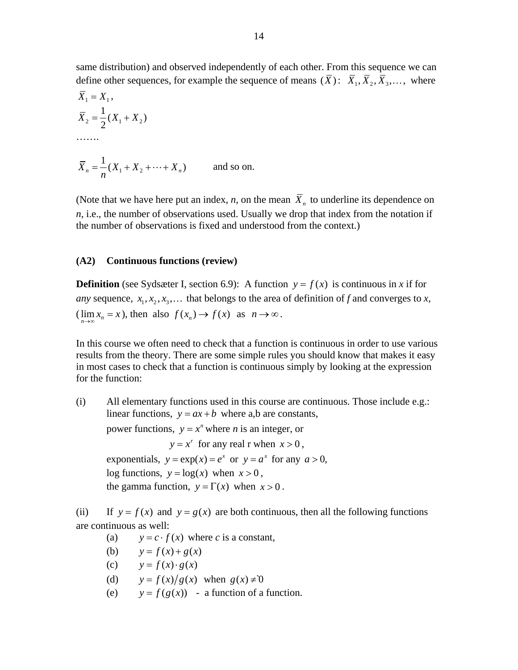same distribution) and observed independently of each other. From this sequence we can define other sequences, for example the sequence of means  $(\bar{X})$ :  $\bar{X}_1, \bar{X}_2, \bar{X}_3, \ldots$ , where

$$
\overline{X}_1 = X_1,
$$
  
\n
$$
\overline{X}_2 = \frac{1}{2}(X_1 + X_2)
$$
  
\n........  
\n
$$
\overline{X}_n = \frac{1}{n}(X_1 + X_2 + \dots + X_n)
$$
 and so on.

(Note that we have here put an index, *n*, on the mean  $\overline{X}_n$  to underline its dependence on *n*, i.e., the number of observations used. Usually we drop that index from the notation if the number of observations is fixed and understood from the context.)

## **(A2) Continuous functions (review)**

**Definition** (see Sydsæter I, section 6.9): A function  $y = f(x)$  is continuous in *x* if for *any* sequence,  $x_1, x_2, x_3, \ldots$  that belongs to the area of definition of *f* and converges to *x*,  $(\lim_{n \to \infty} x_n = x)$ , then also  $f(x_n) \to f(x)$  as  $n \to \infty$ .

In this course we often need to check that a function is continuous in order to use various results from the theory. There are some simple rules you should know that makes it easy in most cases to check that a function is continuous simply by looking at the expression for the function:

(i) All elementary functions used in this course are continuous. Those include e.g.: linear functions,  $y = ax + b$  where a,b are constants, power functions,  $y = x^n$  where *n* is an integer, or  $y = x^r$  for any real r when  $x > 0$ , exponentials,  $y = exp(x) = e^x$  or  $y = a^x$  for any  $a > 0$ , log functions,  $y = log(x)$  when  $x > 0$ , the gamma function,  $y = \Gamma(x)$  when  $x > 0$ .

(ii) If  $y = f(x)$  and  $y = g(x)$  are both continuous, then all the following functions are continuous as well:

- (a)  $y = c \cdot f(x)$  where *c* is a constant,
- (b)  $y = f(x) + g(x)$
- (c)  $y = f(x) \cdot g(x)$
- (d)  $y = f(x)/g(x)$  when  $g(x) \neq 0$
- (e)  $y = f(g(x))$  a function of a function.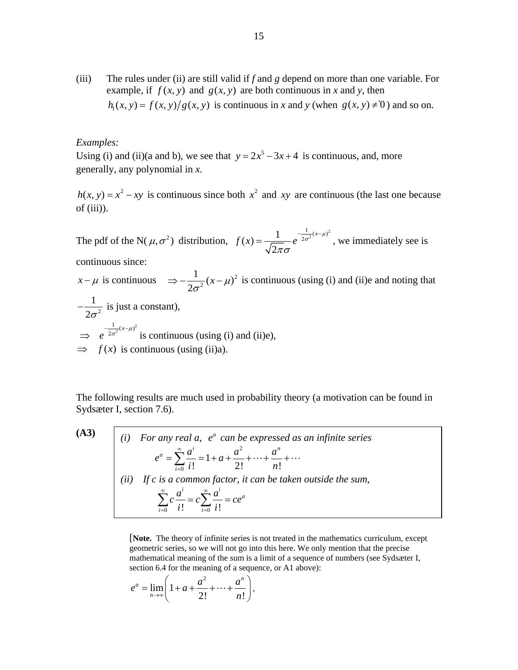(iii) The rules under (ii) are still valid if *f* and *g* depend on more than one variable. For example, if  $f(x, y)$  and  $g(x, y)$  are both continuous in x and y, then  $h_1(x, y) = f(x, y)/g(x, y)$  is continuous in x and y (when  $g(x, y) \neq 0$ ) and so on.

#### *Examples:*

Using (i) and (ii)(a and b), we see that  $y = 2x^5 - 3x + 4$  is continuous, and, more generally, any polynomial in *x*.

 $h(x, y) = x^2 - xy$  is continuous since both  $x^2$  and xy are continuous (the last one because of (iii)).

The pdf of the N( $\mu$ , $\sigma^2$ ) distribution,  $f(x) = \frac{1}{\sqrt{2\pi}} e^{-\frac{1}{2\sigma^2}(x-\mu)^2}$ 2  $f(x) = \frac{1}{\sqrt{2\pi}} e^{-\frac{1}{2\sigma^2}(x-\mu)}$ πσ  $=\frac{1}{\sqrt{2\pi}}e^{-\frac{1}{2\sigma^2}(x-\mu)^2}$ , we immediately see is

continuous since:

 $x - \mu$  is continuous  $\Rightarrow -\frac{1}{2\sigma^2}(x - \mu)^2$  is continuous (using (i) and (ii)e and noting that

2  $-\frac{1}{2\sigma^2}$  is just a constant),  $\Rightarrow e^{-\frac{1}{2\sigma^2}(x-\mu)^2}$  is continuous (using (i) and (ii)e),  $\Rightarrow$   $f(x)$  is continuous (using (ii)a).

The following results are much used in probability theory (a motivation can be found in Sydsæter I, section 7.6).

**(A3)**

(A3)

\n(i) For any real 
$$
a
$$
,  $e^a$  can be expressed as an infinite series

\n
$$
e^a = \sum_{i=0}^{\infty} \frac{a^i}{i!} = 1 + a + \frac{a^2}{2!} + \dots + \frac{a^n}{n!} + \dots
$$
\n(ii) If  $c$  is a common factor, it can be taken outside the sum,

\n
$$
\sum_{i=0}^{\infty} c \frac{a^i}{i!} = c \sum_{i=0}^{\infty} \frac{a^i}{i!} = ce^a
$$

 [**Note.** The theory of infinite series is not treated in the mathematics curriculum, except geometric series, so we will not go into this here. We only mention that the precise mathematical meaning of the sum is a limit of a sequence of numbers (see Sydsæter I, section 6.4 for the meaning of a sequence, or A1 above):

$$
e^a = \lim_{n \to \infty} \left( 1 + a + \frac{a^2}{2!} + \dots + \frac{a^n}{n!} \right),
$$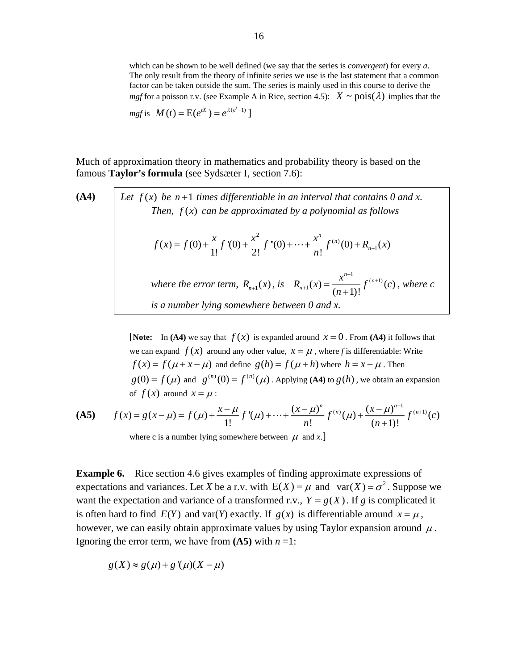which can be shown to be well defined (we say that the series is *convergent*) for every *a*. The only result from the theory of infinite series we use is the last statement that a common factor can be taken outside the sum. The series is mainly used in this course to derive the *mgf* for a poisson r.v. (see Example A in Rice, section 4.5):  $X \sim \text{pois}(\lambda)$  implies that the

$$
mgf \text{ is } M(t) = E(e^{tX}) = e^{\lambda(e^t-1)}.
$$

Much of approximation theory in mathematics and probability theory is based on the famous **Taylor's formula** (see Sydsæter I, section 7.6):

(A4)

\nLet 
$$
f(x)
$$
 be  $n+1$  times differentiable in an interval that contains 0 and  $x$ . Then,  $f(x)$  can be approximated by a polynomial as follows

\n
$$
f(x) = f(0) + \frac{x}{1!}f'(0) + \frac{x^2}{2!}f''(0) + \dots + \frac{x^n}{n!}f^{(n)}(0) + R_{n+1}(x)
$$
\nwhere the error term,  $R_{n+1}(x)$ , is  $R_{n+1}(x) = \frac{x^{n+1}}{(n+1)!}f^{(n+1)}(c)$ , where  $c$  is a number lying somewhere between 0 and  $x$ .

**[Note:** In (A4) we say that  $f(x)$  is expanded around  $x = 0$ . From (A4) it follows that we can expand  $f(x)$  around any other value,  $x = \mu$ , where *f* is differentiable: Write  $f(x) = f(\mu + x - \mu)$  and define  $g(h) = f(\mu + h)$  where  $h = x - \mu$ . Then  $g(0) = f(\mu)$  and  $g^{(n)}(0) = f^{(n)}(\mu)$ . Applying (A4) to  $g(h)$ , we obtain an expansion of  $f(x)$  around  $x = \mu$ :

**(A5)** 
$$
f(x) = g(x - \mu) = f(\mu) + \frac{x - \mu}{1!} f'(\mu) + \dots + \frac{(x - \mu)^n}{n!} f^{(n)}(\mu) + \frac{(x - \mu)^{n+1}}{(n+1)!} f^{(n+1)}(c)
$$

where c is a number lying somewhere between  $\mu$  and *x*.]

**Example 6.** Rice section 4.6 gives examples of finding approximate expressions of expectations and variances. Let *X* be a r.v. with  $E(X) = \mu$  and  $var(X) = \sigma^2$ . Suppose we want the expectation and variance of a transformed r.v.,  $Y = g(X)$ . If *g* is complicated it is often hard to find  $E(Y)$  and var(Y) exactly. If  $g(x)$  is differentiable around  $x = \mu$ , however, we can easily obtain approximate values by using Taylor expansion around  $\mu$ . Ignoring the error term, we have from  $(A5)$  with  $n = 1$ :

$$
g(X) \approx g(\mu) + g'(\mu)(X - \mu)
$$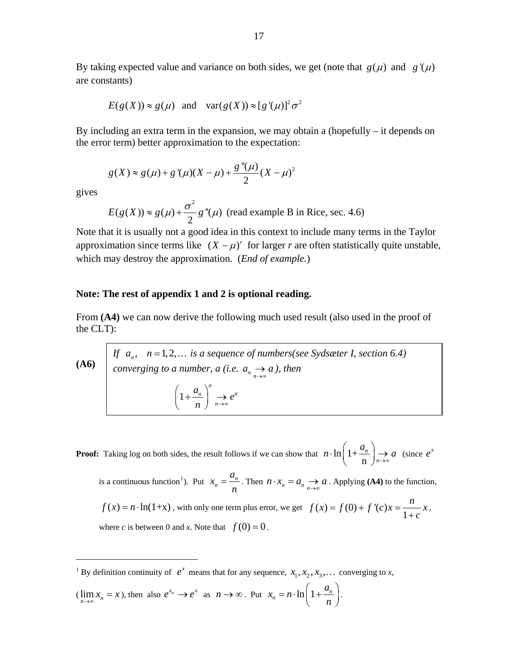By taking expected value and variance on both sides, we get (note that  $g(\mu)$  and  $g'(\mu)$ are constants)

$$
E(g(X)) \approx g(\mu)
$$
 and  $var(g(X)) \approx [g'(\mu)]^2 \sigma^2$ 

By including an extra term in the expansion, we may obtain a (hopefully – it depends on the error term) better approximation to the expectation:

$$
g(X) \approx g(\mu) + g'(\mu)(X - \mu) + \frac{g''(\mu)}{2}(X - \mu)^2
$$

gives

 $\overline{a}$ 

$$
E(g(X)) \approx g(\mu) + \frac{\sigma^2}{2} g''(\mu)
$$
 (read example B in Rice, sec. 4.6)

Note that it is usually not a good idea in this context to include many terms in the Taylor approximation since terms like  $(X - \mu)^r$  for larger *r* are often statistically quite unstable, which may destroy the approximation. (*End of example.*)

### **Note: The rest of appendix 1 and 2 is optional reading.**

From **(A4)** we can now derive the following much used result (also used in the proof of the CLT):

**(A6)** *If*  $a_n$ ,  $n = 1, 2, \ldots$  *is a sequence of numbers(see Sydsæter I, section 6.4) converging to a number, a (i.e.*  $a_n \rightarrow a$ ), then  $a_n, \quad n = 1, 2, ...$  $a_n \rightarrow a$  1 *n*  $n \downarrow \downarrow a^a$ *n*  $\left(\frac{a_n}{a_n}\right)^n \to e$  $\left(1+\frac{a_n}{n}\right)^n \to$ 

**Proof:** Taking log on both sides, the result follows if we can show that  $n \cdot \ln |1+$ n *n n*  $n \cdot \ln\left(1 + \frac{a_n}{n}\right) \to a$  (since  $e^x$ is a continuous function<sup>[1](#page-16-0)</sup>). Put  $x_n = \frac{a_n}{n}$  $x_n = \frac{a_n}{n}$ . Then  $n \cdot x_n = a_n \rightarrow a$ . Applying (A4) to the function,  $f(x) = n \cdot \ln(1+x)$ , with only one term plus error, we get  $f(x) = f(0) + f'(c)x = \frac{n}{1+x}$ *c*  $= f(0) + f'(c)x =$ + *x* , where *c* is between 0 and *x*. Note that  $f(0) = 0$ .

<span id="page-16-0"></span><sup>1</sup> By definition continuity of  $e^x$  means that for any sequence,  $x_1, x_2, x_3, \ldots$  converging to *x*,

$$
(\lim_{n \to \infty} x_n = x), \text{ then also } e^{x_n} \to e^x \text{ as } n \to \infty. \text{ Put } x_n = n \cdot \ln\left(1 + \frac{a_n}{n}\right).
$$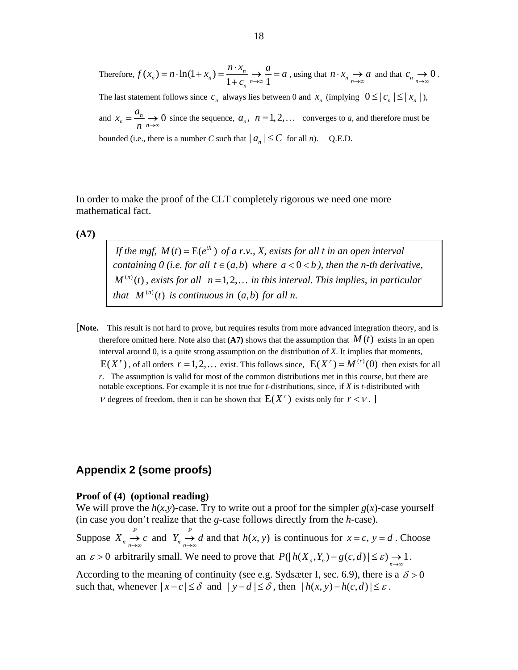Therefore, 
$$
f(x_n) = n \cdot \ln(1 + x_n) = \frac{n \cdot x_n}{1 + c_n} \to \frac{a}{1} = a
$$
, using that  $n \cdot x_n \to a$  and that  $c_n \to 0$ .

The last statement follows since  $c_n$  always lies between 0 and  $x_n$  (implying  $0 \leq |c_n| \leq |x_n|$ ),

and  $x_n = \frac{a_n}{n} \rightarrow 0$  $x_n = \frac{a}{b}$  $=\frac{a_n}{n} \to 0$  since the sequence,  $a_n$ ,  $n = 1, 2, ...$  converges to *a*, and therefore must be bounded (i.e., there is a number *C* such that  $|a_n| \leq C$  for all *n*). Q.E.D.

In order to make the proof of the CLT completely rigorous we need one more mathematical fact.

**(A7)** 

*If the mgf,*  $M(t) = E(e^{tX})$  *of a r.v., X, exists for all t in an open interval containing 0 (i.e. for all t*  $\in$   $(a,b)$  *where a* < 0 < *b ), then the n-th derivative,*  $M^{(n)}(t)$ , exists for all  $n = 1, 2, \ldots$  in this interval. This implies, in particular *that*  $M^{(n)}(t)$  *is continuous in*  $(a,b)$  *for all n.* 

[**Note.** This result is not hard to prove, but requires results from more advanced integration theory, and is therefore omitted here. Note also that  $(A7)$  shows that the assumption that  $M(t)$  exists in an open interval around 0, is a quite strong assumption on the distribution of *X*. It implies that moments,  $E(X^r)$ , of all orders  $r = 1, 2, ...$  exist. This follows since,  $E(X^r) = M^{(r)}(0)$  then exists for all *r*. The assumption is valid for most of the common distributions met in this course, but there are notable exceptions. For example it is not true for *t*-distributions, since, if *X* is *t*-distributed with  $\nu$  degrees of freedom, then it can be shown that  $E(X^r)$  exists only for  $r \leq \nu$ .

## **Appendix 2 (some proofs)**

#### **Proof of (4) (optional reading)**

We will prove the  $h(x, y)$ -case. Try to write out a proof for the simpler  $g(x)$ -case yourself (in case you don't realize that the *g*-case follows directly from the *h*-case). Suppose  $X_n \stackrel{P}{\rightarrow}$  $X_n \underset{n \to \infty}{\to} c$  and  $Y_n \underset{n \to \infty}{\to} d$  and that  $h(x, y)$  is continuous for  $Y_n \to d$  and that  $h(x, y)$  is continuous for  $x = c$ ,  $y = d$ . Choose an  $\varepsilon > 0$  arbitrarily small. We need to prove that  $P(| h(X_n, Y_n) - g(c, d) | \leq \varepsilon) \to 1$ . According to the meaning of continuity (see e.g. Sydsæter I, sec. 6.9), there is a  $\delta > 0$ such that, whenever  $|x-c| \leq \delta$  and  $|y-d| \leq \delta$ , then  $|h(x, y)-h(c, d)| \leq \varepsilon$ .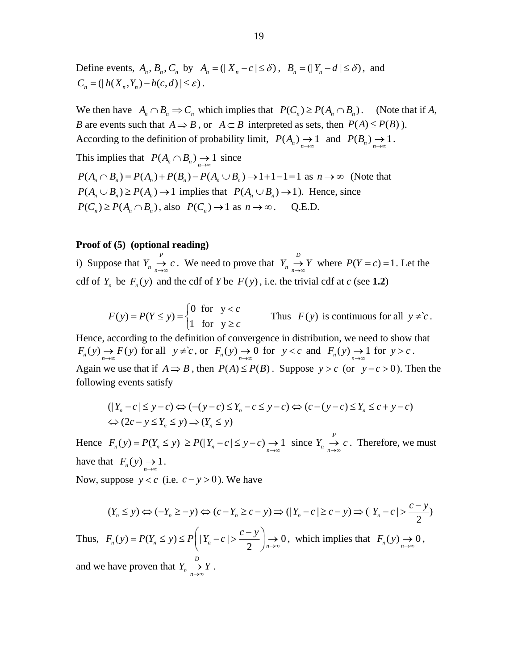Define events,  $A_n$ ,  $B_n$ ,  $C_n$  by  $A_n = (|X_n - c| \le \delta)$ ,  $B_n = (|Y_n - d| \le \delta)$ , and  $C_n = ( | h(X_n, Y_n) - h(c, d) | \le \varepsilon ).$ 

We then have  $A_n \cap B_n \Rightarrow C_n$  which implies that  $P(C_n) \ge P(A_n \cap B_n)$ . (Note that if *A*, *B* are events such that  $A \Rightarrow B$ , or  $A \subset B$  interpreted as sets, then  $P(A) \leq P(B)$ ). According to the definition of probability limit,  $P(A_n) \to 1$  and  $P(B_n) \to 1$ . This implies that  $P(A_n \cap B_n) \to 1$  since  $P(A_n \cap B_n) = P(A_n) + P(B_n) - P(A_n \cup B_n) \to 1 + 1 - 1 = 1$  as  $n \to \infty$  (Note that  $P(A_n \cup B_n) \ge P(A_n) \to 1$  implies that  $P(A_n \cup B_n) \to 1$ . Hence, since

 $P(C_n) \ge P(A_n \cap B_n)$ , also  $P(C_n) \to 1$  as  $n \to \infty$ . Q.E.D.

#### **Proof of (5) (optional reading)**

i) Suppose that  $Y_n \to c$ . We need to prove that  $Y_n \to Y$  where  $P(Y = c) = 1$ . Let the cdf of  $Y_n$  be  $F_n(y)$  and the cdf of *Y* be  $F(y)$ , i.e. the trivial cdf at *c* (see 1.2)  $Y_n \xrightarrow[n \to \infty]{P} c$ . We need to prove that  $Y_n \xrightarrow[n \to \infty]{D}$  $Y_n \longrightarrow Y$  where  $P(Y = c) =$ 

$$
F(y) = P(Y \le y) = \begin{cases} 0 & \text{for } y < c \\ 1 & \text{for } y \ge c \end{cases}
$$
 Thus  $F(y)$  is continuous for all  $y \ne c$ .

Hence, according to the definition of convergence in distribution, we need to show that  $F_n(y) \to F(y)$  for all  $y \neq c$ , or  $F_n(y) \to 0$  for  $y < c$  and  $F_n(y) \to 1$  for  $y > c$ . Again we use that if  $A \Rightarrow B$ , then  $P(A) \le P(B)$ . Suppose  $y > c$  (or  $y - c > 0$ ). Then the following events satisfy

$$
(|Y_n - c| \le y - c) \Leftrightarrow (- (y - c) \le Y_n - c \le y - c) \Leftrightarrow (c - (y - c) \le Y_n \le c + y - c)
$$
  

$$
\Leftrightarrow (2c - y \le Y_n \le y) \Rightarrow (Y_n \le y)
$$

Hence  $F_n(y) = P(Y_n \le y) \ge P(|Y_n - c| \le y - c) \to 1$  since  $Y_n \to c$ . Therefore, we must have that  $F_n(y) \to 1$ . *Y*<sub>*n*</sub> →  $\rightarrow$  *n*→∞

Now, suppose  $y < c$  (i.e.  $c - y > 0$ ). We have

$$
(Y_n \le y) \Leftrightarrow (-Y_n \ge -y) \Leftrightarrow (c - Y_n \ge c - y) \Rightarrow (|Y_n - c| \ge c - y) \Rightarrow (|Y_n - c| > \frac{c - y}{2})
$$

Thus,  $F_n(y) = P(Y_n \le y) \le P\left(|Y_n - c| > \frac{c - y}{2}\right) \to 0$  $\Big\downarrow_{n \to \infty} 0$ , which implies that  $F_n(y) \to 0$ ,

and we have proven that  $Y_n \to Y$ .  $Y_n \longrightarrow Y$ <br>*n*→∞